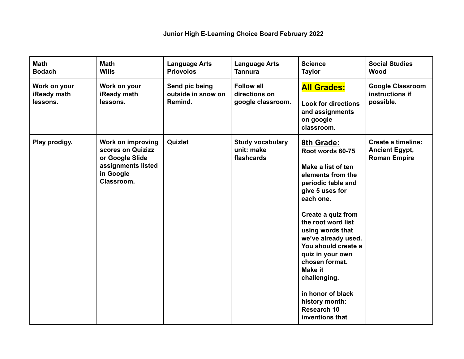| <b>Math</b><br><b>Bodach</b>            | <b>Math</b><br><b>Wills</b>                                                                                       | <b>Language Arts</b><br><b>Priovolos</b>        | <b>Language Arts</b><br><b>Tannura</b>                  | <b>Science</b><br><b>Taylor</b>                                                                                                                                                                                                                                                                                                                                                                       | <b>Social Studies</b><br><b>Wood</b>                                      |
|-----------------------------------------|-------------------------------------------------------------------------------------------------------------------|-------------------------------------------------|---------------------------------------------------------|-------------------------------------------------------------------------------------------------------------------------------------------------------------------------------------------------------------------------------------------------------------------------------------------------------------------------------------------------------------------------------------------------------|---------------------------------------------------------------------------|
| Work on your<br>iReady math<br>lessons. | Work on your<br><b>iReady math</b><br>lessons.                                                                    | Send pic being<br>outside in snow on<br>Remind. | <b>Follow all</b><br>directions on<br>google classroom. | <b>All Grades:</b><br><b>Look for directions</b><br>and assignments<br>on google<br>classroom.                                                                                                                                                                                                                                                                                                        | <b>Google Classroom</b><br>instructions if<br>possible.                   |
| Play prodigy.                           | <b>Work on improving</b><br>scores on Quizizz<br>or Google Slide<br>assignments listed<br>in Google<br>Classroom. | Quizlet                                         | <b>Study vocabulary</b><br>unit: make<br>flashcards     | 8th Grade:<br>Root words 60-75<br>Make a list of ten<br>elements from the<br>periodic table and<br>give 5 uses for<br>each one.<br>Create a quiz from<br>the root word list<br>using words that<br>we've already used.<br>You should create a<br>quiz in your own<br>chosen format.<br><b>Make it</b><br>challenging.<br>in honor of black<br>history month:<br><b>Research 10</b><br>inventions that | <b>Create a timeline:</b><br><b>Ancient Egypt,</b><br><b>Roman Empire</b> |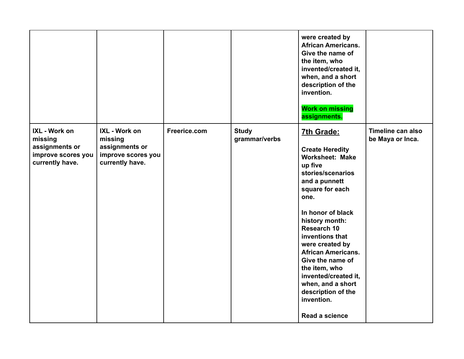|                                                                                     |                                                                                     |              |                               | were created by<br><b>African Americans.</b><br>Give the name of<br>the item, who<br>invented/created it,<br>when, and a short<br>description of the<br>invention.<br><b>Work on missing</b><br>assignments.                                                                                                                                                                                                       |                                       |
|-------------------------------------------------------------------------------------|-------------------------------------------------------------------------------------|--------------|-------------------------------|--------------------------------------------------------------------------------------------------------------------------------------------------------------------------------------------------------------------------------------------------------------------------------------------------------------------------------------------------------------------------------------------------------------------|---------------------------------------|
| IXL - Work on<br>missing<br>assignments or<br>improve scores you<br>currently have. | IXL - Work on<br>missing<br>assignments or<br>improve scores you<br>currently have. | Freerice.com | <b>Study</b><br>grammar/verbs | 7th Grade:<br><b>Create Heredity</b><br><b>Worksheet: Make</b><br>up five<br>stories/scenarios<br>and a punnett<br>square for each<br>one.<br>In honor of black<br>history month:<br><b>Research 10</b><br>inventions that<br>were created by<br><b>African Americans.</b><br>Give the name of<br>the item, who<br>invented/created it,<br>when, and a short<br>description of the<br>invention.<br>Read a science | Timeline can also<br>be Maya or Inca. |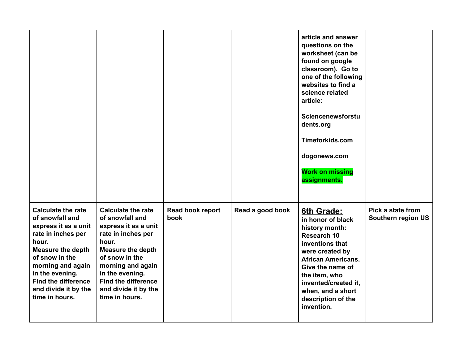|                                                                                                                                                                                                                                                                   |                                                                                                                                                                                                                                                                   |                          |                  | article and answer<br>questions on the<br>worksheet (can be<br>found on google<br>classroom). Go to<br>one of the following<br>websites to find a<br>science related<br>article:<br>Sciencenewsforstu<br>dents.org<br>Timeforkids.com<br>dogonews.com<br><b>Work on missing</b><br>assignments. |                                         |
|-------------------------------------------------------------------------------------------------------------------------------------------------------------------------------------------------------------------------------------------------------------------|-------------------------------------------------------------------------------------------------------------------------------------------------------------------------------------------------------------------------------------------------------------------|--------------------------|------------------|-------------------------------------------------------------------------------------------------------------------------------------------------------------------------------------------------------------------------------------------------------------------------------------------------|-----------------------------------------|
| <b>Calculate the rate</b><br>of snowfall and<br>express it as a unit<br>rate in inches per<br>hour.<br><b>Measure the depth</b><br>of snow in the<br>morning and again<br>in the evening.<br><b>Find the difference</b><br>and divide it by the<br>time in hours. | <b>Calculate the rate</b><br>of snowfall and<br>express it as a unit<br>rate in inches per<br>hour.<br><b>Measure the depth</b><br>of snow in the<br>morning and again<br>in the evening.<br><b>Find the difference</b><br>and divide it by the<br>time in hours. | Read book report<br>book | Read a good book | 6th Grade:<br>in honor of black<br>history month:<br><b>Research 10</b><br>inventions that<br>were created by<br><b>African Americans.</b><br>Give the name of<br>the item, who<br>invented/created it,<br>when, and a short<br>description of the<br>invention.                                | Pick a state from<br>Southern region US |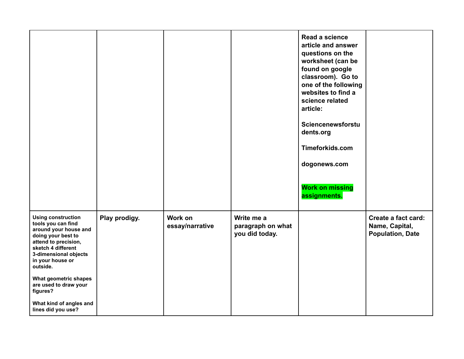|                                                                                                                                                                                                       |               |                            |                                                   | Read a science<br>article and answer<br>questions on the<br>worksheet (can be<br>found on google<br>classroom). Go to<br>one of the following<br>websites to find a<br>science related<br>article:<br>Sciencenewsforstu<br>dents.org<br>Timeforkids.com<br>dogonews.com<br><b>Work on missing</b><br>assignments. |                                                                  |
|-------------------------------------------------------------------------------------------------------------------------------------------------------------------------------------------------------|---------------|----------------------------|---------------------------------------------------|-------------------------------------------------------------------------------------------------------------------------------------------------------------------------------------------------------------------------------------------------------------------------------------------------------------------|------------------------------------------------------------------|
| <b>Using construction</b><br>tools you can find<br>around your house and<br>doing your best to<br>attend to precision,<br>sketch 4 different<br>3-dimensional objects<br>in your house or<br>outside. | Play prodigy. | Work on<br>essay/narrative | Write me a<br>paragraph on what<br>you did today. |                                                                                                                                                                                                                                                                                                                   | Create a fact card:<br>Name, Capital,<br><b>Population, Date</b> |
| What geometric shapes<br>are used to draw your<br>figures?                                                                                                                                            |               |                            |                                                   |                                                                                                                                                                                                                                                                                                                   |                                                                  |
| What kind of angles and<br>lines did you use?                                                                                                                                                         |               |                            |                                                   |                                                                                                                                                                                                                                                                                                                   |                                                                  |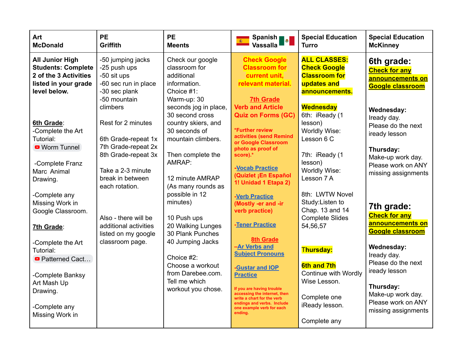| Art<br><b>McDonald</b>                                                                                               | <b>PE</b><br>Griffith                                                                                     | <b>PE</b><br><b>Meents</b>                                                                             | Spanish <sub>1</sub><br>瓣<br><b>Vassalla</b>                                                                                                                                                        | <b>Special Education</b><br><b>Turro</b>                                                            | <b>Special Education</b><br><b>McKinney</b>                                                  |
|----------------------------------------------------------------------------------------------------------------------|-----------------------------------------------------------------------------------------------------------|--------------------------------------------------------------------------------------------------------|-----------------------------------------------------------------------------------------------------------------------------------------------------------------------------------------------------|-----------------------------------------------------------------------------------------------------|----------------------------------------------------------------------------------------------|
| <b>All Junior High</b><br><b>Students: Complete</b><br>2 of the 3 Activities<br>listed in your grade<br>level below. | -50 jumping jacks<br>-25 push ups<br>-50 sit ups<br>-60 sec run in place<br>-30 sec plank<br>-50 mountain | Check our google<br>classroom for<br>additional<br>information.<br>Choice #1:<br>Warm-up: 30           | <b>Check Google</b><br><b>Classroom for</b><br>current unit,<br>relevant material.<br><b>7th Grade</b>                                                                                              | <b>ALL CLASSES:</b><br><b>Check Google</b><br><b>Classroom for</b><br>updates and<br>announcements. | 6th grade:<br><b>Check for any</b><br>announcements on<br><b>Google classroom</b>            |
| 6th Grade:<br>-Complete the Art<br>Tutorial:<br><b>O</b> Worm Tunnel                                                 | climbers<br>Rest for 2 minutes<br>6th Grade-repeat 1x<br>7th Grade-repeat 2x                              | seconds jog in place,<br>30 second cross<br>country skiers, and<br>30 seconds of<br>mountain climbers. | <b>Verb and Article</b><br><b>Quiz on Forms (GC)</b><br>*Further review<br>activities (send Remind<br>or Google Classroom<br>photo as proof of                                                      | <b>Wednesday</b><br>6th: iReady (1<br>lesson)<br>Worldly Wise:<br>Lesson 6 C                        | Wednesday:<br>Iready day.<br>Please do the next<br>iready lesson<br>Thursday:                |
| -Complete Franz<br>Marc Animal<br>Drawing.                                                                           | 8th Grade-repeat 3x<br>Take a 2-3 minute<br>break in between<br>each rotation.                            | Then complete the<br>AMRAP:<br>12 minute AMRAP<br>(As many rounds as                                   | score).*<br>-Vocab Practice<br>(Quizlet ¡En Español<br>1! Unidad 1 Etapa 2)                                                                                                                         | 7th: iReady (1<br>lesson)<br>Worldly Wise:<br>Lesson 7 A                                            | Make-up work day.<br>Please work on ANY<br>missing assignments                               |
| -Complete any<br>Missing Work in<br>Google Classroom.                                                                | Also - there will be<br>additional activities                                                             | possible in 12<br>minutes)<br>10 Push ups                                                              | -Verb Practice<br>(Mostly -er and -ir<br>verb practice)<br>-Tener Practice                                                                                                                          | 8th: LWTW Novel<br>Study: Listen to<br>Chap. 13 and 14<br><b>Complete Slides</b>                    | 7th grade:<br><b>Check for any</b><br>announcements on                                       |
| 7th Grade:<br>-Complete the Art<br>Tutorial:<br><b>Patterned Cact</b>                                                | listed on my google<br>classroom page.                                                                    | 20 Walking Lunges<br>30 Plank Punches<br>40 Jumping Jacks<br>Choice #2:                                | <b>8th Grade</b><br>-Ar Verbs and<br><b>Subject Pronouns</b>                                                                                                                                        | 54,56,57<br><b>Thursday:</b>                                                                        | <b>Google classroom</b><br>Wednesday:<br>Iready day.<br>Please do the next                   |
| -Complete Banksy<br>Art Mash Up<br>Drawing.<br>-Complete any<br>Missing Work in                                      |                                                                                                           | Choose a workout<br>from Darebee.com.<br>Tell me which<br>workout you chose.                           | -Gustar and IOP<br><b>Practice</b><br>If you are having trouble<br>accessing the internet, then<br>write a chart for the verb<br>endings and verbs. Include<br>one example verb for each<br>ending. | <b>6th and 7th</b><br>Continue with Wordly<br>Wise Lesson.<br>Complete one<br>iReady lesson.        | iready lesson<br>Thursday:<br>Make-up work day.<br>Please work on ANY<br>missing assignments |
|                                                                                                                      |                                                                                                           |                                                                                                        |                                                                                                                                                                                                     | Complete any                                                                                        |                                                                                              |